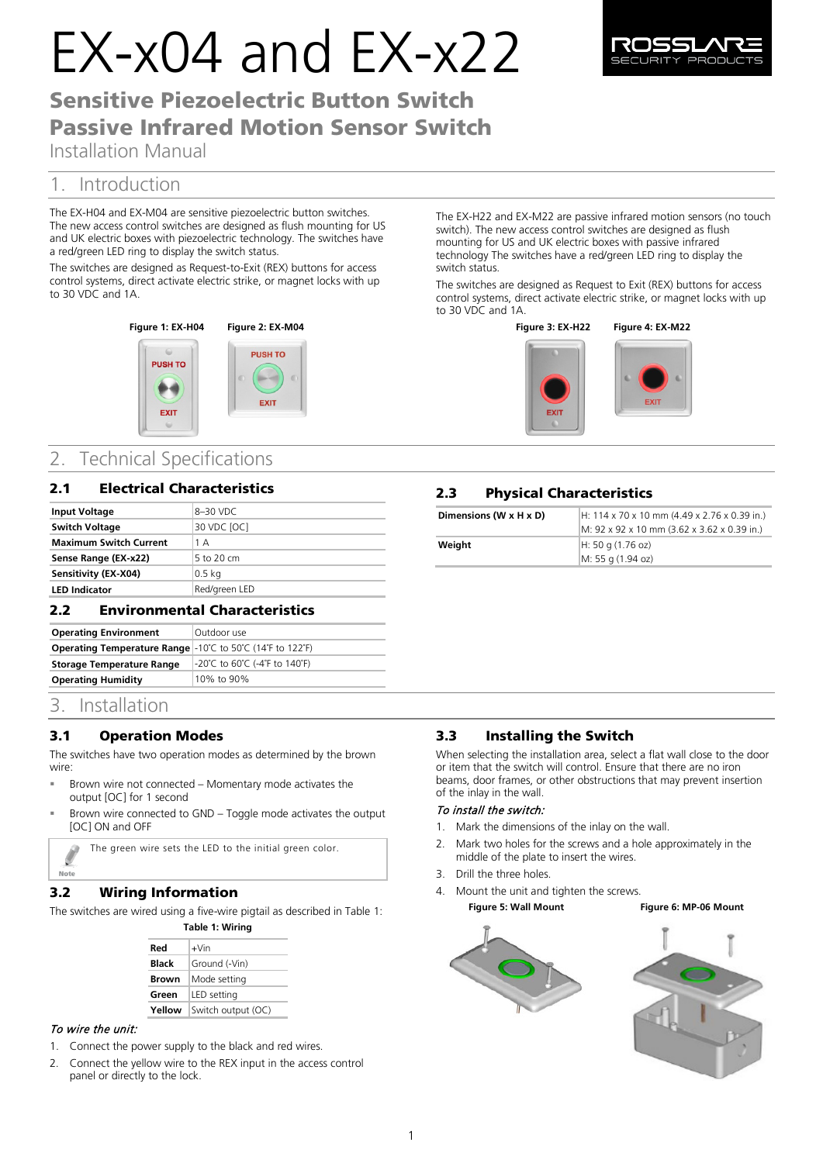# EX-x04 and EX-x22



# Sensitive Piezoelectric Button Switch Passive Infrared Motion Sensor Switch

Installation Manual

## 1. Introduction

The EX-H04 and EX-M04 are sensitive piezoelectric button switches. The new access control switches are designed as flush mounting for US and UK electric boxes with piezoelectric technology. The switches have a red/green LED ring to display the switch status.

The switches are designed as Request-to-Exit (REX) buttons for access control systems, direct activate electric strike, or magnet locks with up to 30 VDC and 1A.



## 2. Technical Specifications

### 2.1 Electrical Characteristics

| <b>Input Voltage</b>          | 8–30 VDC      |
|-------------------------------|---------------|
| <b>Switch Voltage</b>         | 30 VDC [OC]   |
| <b>Maximum Switch Current</b> | 1 A           |
| Sense Range (EX-x22)          | 5 to 20 cm    |
| Sensitivity (EX-X04)          | $0.5$ kg      |
| <b>LED Indicator</b>          | Red/green LED |

### 2.2 Environmental Characteristics

| <b>Operating Environment</b>                                                                                | Outdoor use                   |
|-------------------------------------------------------------------------------------------------------------|-------------------------------|
| <b>Operating Temperature Range</b> $-10^{\circ}$ C to 50 $^{\circ}$ C (14 $^{\circ}$ F to 122 $^{\circ}$ F) |                               |
| <b>Storage Temperature Range</b>                                                                            | -20°C to 60°C (-4°F to 140°F) |
| <b>Operating Humidity</b>                                                                                   | 10% to 90%                    |

## 3. Installation

## **3.1 Operation Modes**

The switches have two operation modes as determined by the brown wire:

- Brown wire not connected Momentary mode activates the output [OC] for 1 second
- Brown wire connected to GND Toggle mode activates the output [OC] ON and OFF

The green wire sets the LED to the initial green color.

Ø Note

## **3.2** Wiring Information

The switches are wired using a five-wire pigtail as described in Table 1:

| Table 1: Wiring |                    |
|-----------------|--------------------|
| Red             | $+V$ in            |
| Black           | Ground (-Vin)      |
| <b>Brown</b>    | Mode setting       |
| Green           | LED setting        |
| Yellow          | Switch output (OC) |

#### To wire the unit:

- 1. Connect the power supply to the black and red wires.
- 2. Connect the yellow wire to the REX input in the access control panel or directly to the lock.

The EX-H22 and EX-M22 are passive infrared motion sensors (no touch switch). The new access control switches are designed as flush mounting for US and UK electric boxes with passive infrared technology The switches have a red/green LED ring to display the switch status.

The switches are designed as Request to Exit (REX) buttons for access control systems, direct activate electric strike, or magnet locks with up to 30 VDC and 1A.

#### **Figure 3: EX-H22 Figure 4: EX-M22**



## **2.3** Physical Characteristics

EXIT

| Dimensions (W x H x D) | H: 114 x 70 x 10 mm (4.49 x 2.76 x 0.39 in.)<br>M: 92 x 92 x 10 mm (3.62 x 3.62 x 0.39 in.) |
|------------------------|---------------------------------------------------------------------------------------------|
| Weight                 | H: 50 g (1.76 oz)                                                                           |
|                        | M: 55 g (1.94 oz)                                                                           |

## **3.3** Installing the Switch

When selecting the installation area, select a flat wall close to the door or item that the switch will control. Ensure that there are no iron beams, door frames, or other obstructions that may prevent insertion of the inlay in the wall.

#### To install the switch:

- 1. Mark the dimensions of the inlay on the wall.
- 2. Mark two holes for the screws and a hole approximately in the middle of the plate to insert the wires.
- 3. Drill the three holes.
- 4. Mount the unit and tighten the screws.